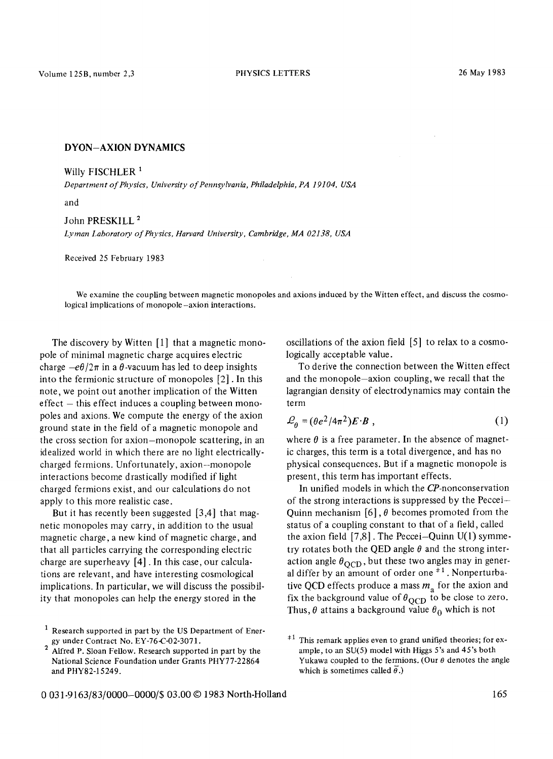## DYON-AXION DYNAMICS

Willy FISCHLER<sup>1</sup>

*Department of Physics, University of Pennsylvania, Philadelphia, PA 19104, USA* 

and

John PRESKILL<sup>2</sup> *Lyman Laboratory of Physics, Harvard University, Cambridge, MA 02138, USA* 

Received 25 February 1983

We examine the coupling between magnetic monopoles and axions induced by the Witten effect, and discuss the cosmological implications of monopole-axion interactions.

The discovery by Witten  $[1]$  that a magnetic monopole of minimal magnetic charge acquires electric charge  $-e\theta/2\pi$  in a  $\theta$ -vacuum has led to deep insights into the fermionic structure of monopoles [2]. In this note, we point out another implication of the Witten effect - this effect induces a coupling between monopoles and axions. We compute the energy of the axion ground state in the field of a magnetic monopole and the cross section for axion-monopole scattering, in an idealized world in which there are no light electricallycharged fermions. Unfortunately, axion-monopole interactions become drastically modified if light charged fermions exist, and our calculations do not apply to this more realistic case.

But it has recently been suggested [3,4] that magnetic monopoles may carry, in addition to the usual magnetic charge, a new kind of magnetic charge, and that all particles carrying the corresponding electric charge are superheavy [4]. In this case, our calculations are relevant, and have interesting cosmological implications. In particular, we will discuss the possibility that monopoles can help the energy stored in the

oscillations of the axion field [5] to relax to a cosmologically acceptable value.

To derive the connection between the Witten effect and the monopole-axion coupling, we recall that the lagrangian density of electrodynamics may contain the term

$$
\mathcal{L}_{\theta} = (\theta e^2 / 4\pi^2) E \cdot B \tag{1}
$$

where  $\theta$  is a free parameter. In the absence of magnetic charges, this term is a total divergence, and has no physical consequences. But if a magnetic monopole is present, this term has important effects.

In unified models in which the CP-nonconservation of the strong interactions is suppressed by the Peccei-Quinn mechanism  $[6]$ ,  $\theta$  becomes promoted from the status of a coupling constant to that of a field, called the axion field  $[7,8]$ . The Peccei-Quinn U(1) symmetry rotates both the QED angle  $\theta$  and the strong interaction angle  $\theta_{\rm OCD}$ , but these two angles may in general differ by an amount of order one  $*1$ . Nonperturbative QCD effects produce a mass  $m_a$  for the axion and fix the background value of  $\theta_{\text{OCD}}$  to be close to zero. Thus,  $\theta$  attains a background value  $\theta_0$  which is not

Research supported in part by the US Department of Energy under Contract No. EY-76-C-02-3071.

<sup>&</sup>lt;sup>2</sup> Alfred P. Sloan Fellow. Research supported in part by the National Science Foundation under Grants PHY77-22864 and PHY82-15249.

 $*1$  This remark applies even to grand unified theories; for example, to an SU(5) model with Higgs 5's and 45's both Yukawa coupled to the fermions. (Our  $\theta$  denotes the angle which is sometimes called  $\vec{\theta}$ .)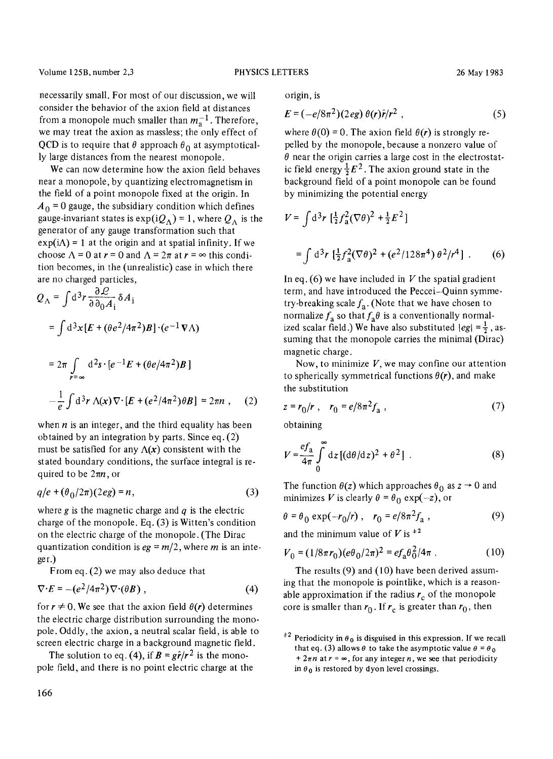Volume 125B, number 2,3 PHYSICS LETTERS 26 May 1983

necessarily small. For most of our discussion, we will consider the behavior of the axion field at distances from a monopole much smaller than  $m_a^{-1}$ . Therefore, we may treat the axion as massless; the only effect of QCD is to require that  $\theta$  approach  $\theta_0$  at asymptotically large distances from the nearest monopole.

We can now determine how the axion field behaves near a monopole, by quantizing electromagnetism in the field of a point monopole fixed at the origin. In  $A_0 = 0$  gauge, the subsidiary condition which defines gauge-invariant states is  $exp(iQ_A) = 1$ , where  $Q_A$  is the generator of any gauge transformation such that  $exp(i\Lambda) = 1$  at the origin and at spatial infinity. If we choose  $\Lambda = 0$  at  $r = 0$  and  $\Lambda = 2\pi$  at  $r = \infty$  this condition becomes, in the (unrealistic) case in which there are no charged particles,

$$
Q_{\Lambda} = \int d^3 r \frac{\partial \mathcal{L}}{\partial \partial_0 A_i} \delta A_i
$$
  
= 
$$
\int d^3 x [E + (\theta e^2 / 4\pi^2) B] \cdot (e^{-1} \mathbf{V} \Lambda)
$$
  
= 
$$
2\pi \int_{r=\infty} d^2 s \cdot [e^{-1} E + (\theta e / 4\pi^2) B]
$$
  

$$
-\frac{1}{e} \int d^3 r \Lambda(x) \nabla \cdot [E + (e^2 / 4\pi^2) \theta B] = 2\pi n , \quad (2)
$$

when  $n$  is an integer, and the third equality has been obtained by an integration by parts. Since eq. (2) must be satisfied for any  $\Lambda(x)$  consistent with the stated boundary conditions, the surface integral is required to be  $2\pi n$ , or

$$
q/e + (\theta_0/2\pi)(2eg) = n,\t\t(3)
$$

where g is the magnetic charge and  $q$  is the electric charge of the monopole. Eq. (3) is Witten's condition on the electric charge of the monopole. (The Dirac quantization condition is  $eg = m/2$ , where *m* is an integer.)

From eq. (2) we may also deduce that

$$
\nabla \cdot E = -(e^2/4\pi^2) \nabla \cdot (\theta B) , \qquad (4)
$$

for  $r \neq 0$ . We see that the axion field  $\theta(r)$  determines the electric charge distribution surrounding the monopole. Oddly, the axion, a neutral scalar field, is able to screen electric charge in a background magnetic field.

The solution to eq. (4), if  $B = \frac{g\hat{r}}{r^2}$  is the monopole field, and there is no point electric charge at the origin, is

$$
E = (-e/8\pi^2)(2eg) \theta(r)\hat{r}/r^2 , \qquad (5)
$$

where  $\theta(0) = 0$ . The axion field  $\theta(r)$  is strongly repelled by the monopole, because a nonzero value of  $\theta$  near the origin carries a large cost in the electrostatic field energy  $\frac{1}{2}E^2$ . The axion ground state in the background field of a point monopole can be found by minimizing the potential energy

$$
V = \int d^3 r \, \left[ \frac{1}{2} f_a^2 (\nabla \theta)^2 + \frac{1}{2} E^2 \right]
$$
  
= 
$$
\int d^3 r \, \left[ \frac{1}{2} f_a^2 (\nabla \theta)^2 + (e^2 / 128 \pi^4) \theta^2 / r^4 \right] .
$$
 (6)

In eq.  $(6)$  we have included in V the spatial gradient term, and have introduced the Peccei-Quinn symmetry-breaking scale  $f_a$ . (Note that we have chosen to normalize  $f_a$  so that  $f_a\theta$  is a conventionally normalized scalar field.) We have also substituted  $|eg| = \frac{1}{2}$ , assuming that the monopole carries the minimal (Dirac) magnetic charge.

Now, to minimize *V,* we may confine our attention to spherically symmetrical functions  $\theta(r)$ , and make the substitution

$$
z = r_0/r , r_0 = e/8\pi^2 f_a , \qquad (7)
$$

obtaining

$$
V = \frac{ef_a}{4\pi} \int_0^\infty dz \left[ (d\theta/dz)^2 + \theta^2 \right] \,. \tag{8}
$$

The function  $\theta(z)$  which approaches  $\theta_0$  as  $z \rightarrow 0$  and minimizes V is clearly  $\theta = \theta_0 \exp(-z)$ , or

$$
\theta = \theta_0 \exp(-r_0/r) , \quad r_0 = e/8\pi^2 f_a , \tag{9}
$$

and the minimum value of V is  $*$ <sup>2</sup>

$$
V_0 = (1/8\pi r_0)(e\theta_0/2\pi)^2 = ef_a\theta_0^2/4\pi
$$
 (10)

The results (9) and (10) have been derived assuming that the monopole is pointlike, which is a reasonable approximation if the radius  $r_c$  of the monopole core is smaller than  $r_0$ . If  $r_c$  is greater than  $r_0$ , then

<sup>&</sup>lt;sup>#2</sup> Periodicity in  $\theta_0$  is disguised in this expression. If we recall that eq. (3) allows  $\theta$  to take the asymptotic value  $\theta = \theta_0$ +  $2\pi n$  at  $r = \infty$ , for any integer n, we see that periodicity in  $\theta_0$  is restored by dyon level crossings.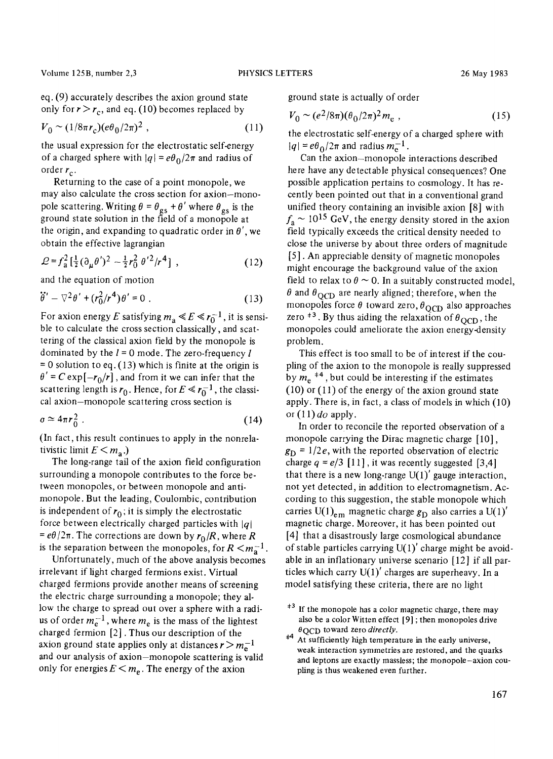Volume 125B, number 2,3 **PHYSICS LETTERS** 26 May 1983

eq. (9) accurately describes the axion ground state only for  $r > r_c$ , and eq. (10) becomes replaced by

$$
V_0 \sim (1/8\pi r_c)(e\theta_0/2\pi)^2 \,, \tag{11}
$$

the usual expression for the electrostatic self-energy of a charged sphere with  $|q| = e\theta_0/2\pi$  and radius of order  $r_c$ .

Returning to the case of a point monopole, we may also calculate the cross section for axion-monopole scattering. Writing  $\theta = \theta_{gs} + \theta'$  where  $\theta_{gs}$  is the ground state solution in the field of a monopole at the origin, and expanding to quadratic order in  $\theta'$ , we obtain the effective lagrangian

$$
\mathcal{L} = f_a^2 \left[ \frac{1}{2} (\partial_\mu \theta')^2 - \frac{1}{2} r_0^2 \theta'^2 / r^4 \right] , \qquad (12)
$$

and the equation of motion

$$
\ddot{\theta}' - \nabla^2 \theta' + (r_0^2/r^4) \theta' = 0.
$$
 (13)

For axion energy E satisfying  $m_a \ll E \ll r_0^{-1}$ , it is sensible to calculate the cross section classically, and scattering of the classical axion field by the monopole is dominated by the  $l = 0$  mode. The zero-frequency  $l$  $= 0$  solution to eq. (13) which is finite at the origin is  $\theta' = C \exp[-r_0/r]$ , and from it we can infer that the scattering length is  $r_0$ . Hence, for  $E \ll r_0^{-1}$ , the classical axion-monopole scattering cross section is

$$
\sigma \simeq 4\pi r_0^2 \ . \tag{14}
$$

(In fact, this result continues to apply in the nonrelativistic limit  $E \leq m_{\rm a}$ .)

The long-range tail of the axion field configuration surrounding a monopole contributes to the force between monopoles, or between monopole and antimonopole. But the leading, Coulombic, contribution is independent of  $r_0$ ; it is simply the electrostatic force between electrically charged particles with  $|q|$  $= e\theta/2\pi$ . The corrections are down by  $r_0/R$ , where R is the separation between the monopoles, for  $R < m<sub>a</sub>^{-1}$ .

Unfortunately, much of the above analysis becomes irrelevant if light charged fermions exist. Virtual charged fermions provide another means of screening the electric charge surrounding a monopole; they allow the charge to spread out over a sphere with a radius of order  $m_e^{-1}$ , where  $m_e$  is the mass of the lightest charged fermion [2]. Thus our description of the axion ground state applies only at distances  $r > m_e^{-1}$ and our analysis of axion-monopole scattering is valid only for energies  $E \le m_e$ . The energy of the axion

ground state is actually of order

$$
V_0 \sim (e^2/8\pi)(\theta_0/2\pi)^2 m_e , \qquad (15)
$$

the electrostatic self-energy of a charged sphere with  $|q| = e\theta_0/2\pi$  and radius  $m_e^{-1}$ .

Can the axion-monopole interactions described here have any detectable physical consequences? One possible application pertains to cosmology. It has recently been pointed out that in a conventional grand unified theory containing an invisible axion [8] with  $f_a \sim 10^{15}$  GeV, the energy density stored in the axion field typically exceeds the critical density needed to close the universe by about three orders of magnitude [5]. An appreciable density of magnetic monopoles might encourage the background value of the axion field to relax to  $\theta \sim 0$ . In a suitably constructed model,  $\theta$  and  $\theta$ <sub>OCD</sub> are nearly aligned; therefore, when the monopoles force  $\theta$  toward zero,  $\theta_{\text{QCD}}$  also approaches zero  $*$ <sup>3</sup>. By thus aiding the relaxation of  $\theta$ <sub>OCD</sub>, the monopoles could ameliorate the axion energy-density problem.

This effect is too small to be of interest if the coupling of the axion to the monopole is really suppressed by  $m_e$ <sup> $\pm 4$ </sup>, but could be interesting if the estimates (10) or (11) of the energy of the axion ground state apply. There is, in fact, a class of models in which (10) or  $(11)$  *do* apply.

In order to reconcile the reported observation of a monopole carrying the Dirac magnetic charge [10],  $g_D = 1/2e$ , with the reported observation of electric charge  $q = e/3$  [11], it was recently suggested [3,4] that there is a new long-range  $U(1)'$  gauge interaction, not yet detected, in addition to electromagnetism. According to this suggestion, the stable monopole which carries U(1)<sub>em</sub> magnetic charge  $g_D$  also carries a U(1)' magnetic charge. Moreover, it has been pointed out [4] that a disastrously large cosmological abundance of stable particles carrying  $U(1)$ ' charge might be avoidable in an inflationary universe scenario [12] if all particles which carry  $U(1)'$  charges are superheavy. In a model satisfying these criteria, there are no light

 $*3$  If the monopole has a color magnetic charge, there may also be a color Witten effect [9] ; then monopoles drive  $\theta$ OCD toward zero *directly*.

<sup>&</sup>lt;sup>+4</sup> At sufficiently high temperature in the early universe, weak interaction symmetries are restored, and the quarks and leptons are exactly massless; the monopole-axion coupling is thus weakened even further.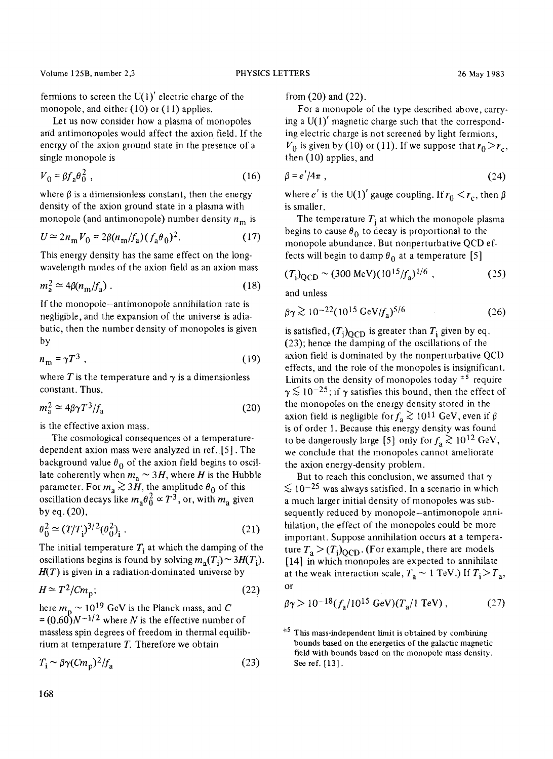Volume 125B, number 2,3 PHYSICS LETTERS 26 May 1983

fermions to screen the  $U(1)'$  electric charge of the monopole, and either (10) or (11) applies.

Let us now consider how a plasma of monopoles and antimonopoles would affect the axion field. If the energy of the axion ground state in the presence of a single monopole is

$$
V_0 = \beta f_a \theta_0^2 \tag{16}
$$

where  $\beta$  is a dimensionless constant, then the energy density of the axion ground state in a plasma with monopole (and antimonopole) number density  $n_m$  is

$$
U \approx 2n_{\rm m}V_0 = 2\beta(n_{\rm m}/f_{\rm a})(f_{\rm a}\theta_0)^2. \tag{17}
$$

This energy density has the same effect on the longwavelength modes of the axion field as an axion mass

$$
m_a^2 \simeq 4\beta (n_m/f_a) \tag{18}
$$

If the monopole-antimonopole annihilation rate is negligible, and the expansion of the universe is adiabatic, then the number density of monopoles is given by

$$
n_{\rm m} = \gamma T^3 \tag{19}
$$

where T is the temperature and  $\gamma$  is a dimensionless constant. Thus,

$$
m_a^2 \simeq 4\beta \gamma T^3 / f_a \tag{20}
$$

is the effective axion mass.

The cosmological consequences of a temperaturedependent axion mass were analyzed in ref. [5]. The background value  $\theta_0$  of the axion field begins to oscillate coherently when  $m_a \sim 3H$ , where H is the Hubble parameter. For  $m_a \gtrsim 3\ddot{H}$ , the amplitude  $\theta_0$  of this oscillation decays like  $m_a \theta_0^2 \propto T^3$ , or, with  $m_a$  given by eq. (20),

$$
\theta_0^2 \simeq (T/T_i)^{3/2} (\theta_0^2)_i . \tag{21}
$$

The initial temperature  $T_i$  at which the damping of the oscillations begins is found by solving  $m_a(T_i) \sim 3H(T_i)$ . *H(T)* is given in a radiation-dominated universe by

$$
H \simeq T^2 / C m_{\rm p};\tag{22}
$$

here  $m_p \sim 10^{19}$  GeV is the Planck mass, and C  $=(0.60)N^{-1/2}$  where N is the effective number of massless spin degrees of freedom in thermal equilibrium at temperature  $T$ . Therefore we obtain

$$
T_{\rm i} \sim \beta \gamma (C m_{\rm p})^2 / f_{\rm a} \tag{23}
$$

from (20) and (22).

For a monopole of the type described above, carrying a  $U(1)'$  magnetic charge such that the corresponding electric charge is not screened by light fernrions,  $V_0$  is given by (10) or (11). If we suppose that  $r_0 > r_c$ , then (10) applies, and

$$
\beta = e'/4\pi \tag{24}
$$

where e' is the U(1)' gauge coupling. If  $r_0 < r_c$ , then  $\beta$ is smaller.

The temperature  $T_i$  at which the monopole plasma begins to cause  $\theta_0$  to decay is proportional to the monopole abundance. But nonperturbative QCD effects will begin to damp  $\theta_0$  at a temperature [5]

$$
(T_{\rm i})_{\rm QCD} \sim (300 \text{ MeV})(10^{15}/f_{\rm a})^{1/6} , \qquad (25)
$$

and unless

$$
\beta \gamma \gtrsim 10^{-22} (10^{15} \text{ GeV}/f_a)^{5/6} \tag{26}
$$

is satisfied,  $(T_i)_{\text{OCD}}$  is greater than  $T_i$  given by eq. (23); hence the damping of the oscillations of the axion field is dominated by the nonperturbative QCD effects, and the role of the monopoles is insignificant. Limits on the density of monopoles today  $*$ <sup>5</sup> require  $\gamma \lesssim 10^{-25}$ ; if  $\gamma$  satisfies this bound, then the effect of the monopoles on the energy density stored in the axion field is negligible for  $f_a \gtrsim 10^{11}$  GeV, even if  $\beta$ is of order 1. Because this energy density was found to be dangerously large [5] only for  $f_a \ge 10^{12}$  GeV, we conclude that the monopoles cannot anaeliorate the axion energy-density problem.

But to reach this conclusion, we assumed that  $\gamma$  $\lesssim 10^{-25}$  was always satisfied. In a scenario in which a much larger initial density of monopoles was subsequently reduced by monopole-antimonopole annihilation, the effect of the monopoles could be more important. Suppose annihilation occurs at a temperature  $T_a > (T_i)_{\text{OCD}}$ . (For example, there are models [14] in which monopoles are expected to annihilate at the weak interaction scale,  $T_a \sim 1 \text{ TeV}$ .) If  $T_i > T_a$ , or

$$
\beta \gamma > 10^{-18} (f_a/10^{15} \text{ GeV}) (T_a/1 \text{ TeV}), \qquad (27)
$$

 $*$ <sup>5</sup> This mass-independent limit is obtained by combining bounds based on the energetics of the galactic magnetic field with bounds based on the monopole mass density. See ref. [13].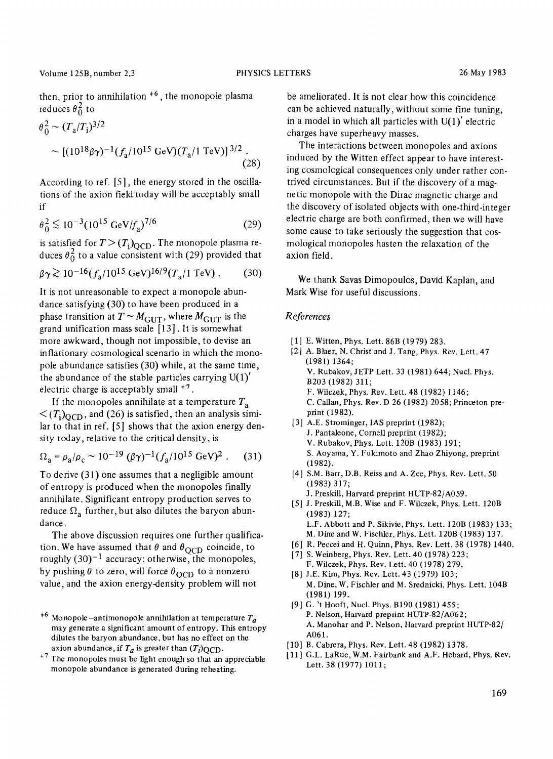then, prior to annihilation  $*$ <sup>6</sup>, the monopole plasma reduces  $\theta_0^2$  to

$$
\theta_0^2 \sim (T_a/T_i)^{3/2}
$$
  
 
$$
\sim [(10^{18}\beta\gamma)^{-1}(f_a/10^{15} \text{ GeV})(T_a/1 \text{ TeV})]^{3/2}.
$$
 (28)

According to ref. [5], the energy stored in the oscillations of the axion field today will be acceptably small if

$$
\theta_0^2 \lesssim 10^{-3} (10^{15} \text{ GeV}/f_a)^{7/6} \tag{29}
$$

is satisfied for  $T > (T_i)_{\text{QCD}}$ . The monopole plasma reduces  $\theta_0^2$  to a value consistent with (29) provided that

$$
\beta \gamma \gtrsim 10^{-16} (f_a/10^{15} \text{ GeV})^{16/9} (T_a/1 \text{ TeV}) \,. \tag{30}
$$

It is not unreasonable to expect a monopole abundance satisfying (30) to have been produced in a phase transition at  $T \sim M_{\text{GUT}}$ , where  $M_{\text{GUT}}$  is the grand unification mass scale [13]. It is somewhat more awkward, though not impossible, to devise an inflationary cosmological scenario in which the monopole abundance satisfies (30) while, at the same time, the abundance of the stable particles carrying  $U(1)'$ electric charge is acceptably small  $*^7$ .

If the monopoles annihilate at a temperature  $T_a$  $\langle (T_i)_{\Omega \cap D}$ , and (26) is satisfied, then an analysis similar to that in ref. [5] shows that the axion energy density today, relative to the critical density, is

$$
\Omega_{\rm a} = \rho_{\rm a}/\rho_{\rm c} \sim 10^{-19} \, (\beta \gamma)^{-1} (f_{\rm a}/10^{15} \, \text{GeV})^2 \,. \tag{31}
$$

To derive (31) one assumes that a negligible amount of entropy is produced when the monopoles finally annihilate. Significant entropy production serves to reduce  $\Omega_a$  further, but also dilutes the baryon abundance.

The above discussion requires one further qualification. We have assumed that  $\theta$  and  $\theta_{\text{OCD}}$  coincide, to roughly  $(30)^{-1}$  accuracy; otherwise, the monopoles, by pushing  $\theta$  to zero, will force  $\theta_{\text{OCD}}$  to a nonzero value, and the axion energy-density problem will not

 $*7$  The monopoles must be light enough so that an appreciable monopole abundance is generated during reheating.

be ameliorated. It is not clear how this coincidence can be achieved naturally, without some fine tuning, in a model in which all particles with  $U(1)'$  electric charges have superheavy masses.

The interactions between monopoles and axions induced by the Witten effect appear to have interesting cosmological consequences only under rather contrived circumstances. But if the discovery of a magnetic monopole with the Dirac magnetic charge and the discovery of isolated objects with one-third-integer electric charge are both confirmed, then we will have some cause to take seriously the suggestion that cosmological monopoles hasten the relaxation of the axion field.

We thank Savas Dimopoulos, David Kaplan, and Mark Wise for useful discussions.

## *References*

- [1] E. Witten, Phys. Lett. 86B (1979) 283.
- [2] A. Blaer, N. Christ and J. Tang, Phys. Rev. Lett. 47 (1981) 1364; V. Rubakov, JETP Lett. 33 (1981) 644; Nucl. Phys. B203 (1982) 311; F. Wilczek, Phys. Rev. Lett. 48 (1982) 1146; C. Callan, Phys. Rev. D 26 (1982) 2058; Princeton preprint (1982).
- [3] A.E. Strominger, IAS preprint (1982); J. Pantaleone, Cornell preprint (1982); V. Rubakov, Phys. Lett. 120B (1983) 191; S. Aoyama, Y. Fukimoto and Zhao Zhiyong, preprint (1982).
- [4] S.M. Barr, D.B. Reiss and A. Zee, Phys. Rev. Lett. 50 (1983) 317; J. PreskiU, Harvard preprint HUTP-82/A059.
- [5] J. PreskiU, M.B. Wise and F. Wilczek, Phys. Lett. 120B (1983) 127; L.F. Abbott and P. Sikivie, Phys. Lett. 120B (1983) 133; M. Dine and W. Fischler, Phys. Lett. 120B (1983) 137.
- [6] R. Peccei and H. Quinn, Phys. Rev. Lett. 38 (1978) 1440.
- [7] S. Weinberg, Phys. Rev. Lett. 40 (1978) 223; F. Wilczek, Phys. Rev. Lett. 40 (1978) 279.
- [8] J.E. Kim, Phys. Rev. Lett. 43 (1979) 103; M. Dine, W. Fischler and M. Srednicki, Phys. Lett. 104B (1981) 199.
- [9] G. 't Hooft, Nucl. Phys. B190 (1981) 455; P. Nelson, Harvard preprint HUTP-82/A062; A. Manohar and P. Nelson, Harvard preprint HUTP-82/ A061.
- [10] B. Cabrera, Phys. Rev. Lett. 48 (1982) 1378.
- [11] G.L. LaRue, W.M. Fairbank and A.F. Hebard, Phys. Rev. Lett. 38 (1977) 1011;

 $*$ <sup>6</sup> Monopole-antimonopole annihilation at temperature  $T_a$ may generate a significant amount of entropy. This entropy dilutes the baryon abundance, but has no effect on the axion abundance, if  $T_a$  is greater than  $(T_i)$ QCD.